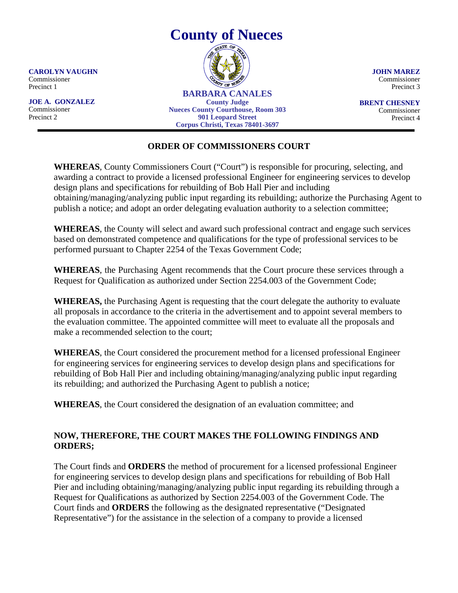

**JOHN MAREZ** Commissioner Precinct 3

**BRENT CHESNEY** Commissioner Precinct 4

## **ORDER OF COMMISSIONERS COURT**

**WHEREAS**, County Commissioners Court ("Court") is responsible for procuring, selecting, and awarding a contract to provide a licensed professional Engineer for engineering services to develop design plans and specifications for rebuilding of Bob Hall Pier and including obtaining/managing/analyzing public input regarding its rebuilding; authorize the Purchasing Agent to publish a notice; and adopt an order delegating evaluation authority to a selection committee;

**WHEREAS**, the County will select and award such professional contract and engage such services based on demonstrated competence and qualifications for the type of professional services to be performed pursuant to Chapter 2254 of the Texas Government Code;

**WHEREAS**, the Purchasing Agent recommends that the Court procure these services through a Request for Qualification as authorized under Section 2254.003 of the Government Code;

**WHEREAS,** the Purchasing Agent is requesting that the court delegate the authority to evaluate all proposals in accordance to the criteria in the advertisement and to appoint several members to the evaluation committee. The appointed committee will meet to evaluate all the proposals and make a recommended selection to the court;

**WHEREAS**, the Court considered the procurement method for a licensed professional Engineer for engineering services for engineering services to develop design plans and specifications for rebuilding of Bob Hall Pier and including obtaining/managing/analyzing public input regarding its rebuilding; and authorized the Purchasing Agent to publish a notice;

**WHEREAS**, the Court considered the designation of an evaluation committee; and

## **NOW, THEREFORE, THE COURT MAKES THE FOLLOWING FINDINGS AND ORDERS;**

The Court finds and **ORDERS** the method of procurement for a licensed professional Engineer for engineering services to develop design plans and specifications for rebuilding of Bob Hall Pier and including obtaining/managing/analyzing public input regarding its rebuilding through a Request for Qualifications as authorized by Section 2254.003 of the Government Code. The Court finds and **ORDERS** the following as the designated representative ("Designated Representative") for the assistance in the selection of a company to provide a licensed

**CAROLYN VAUGHN** Commissioner Precinct 1

**JOE A. GONZALEZ** Commissioner Precinct 2